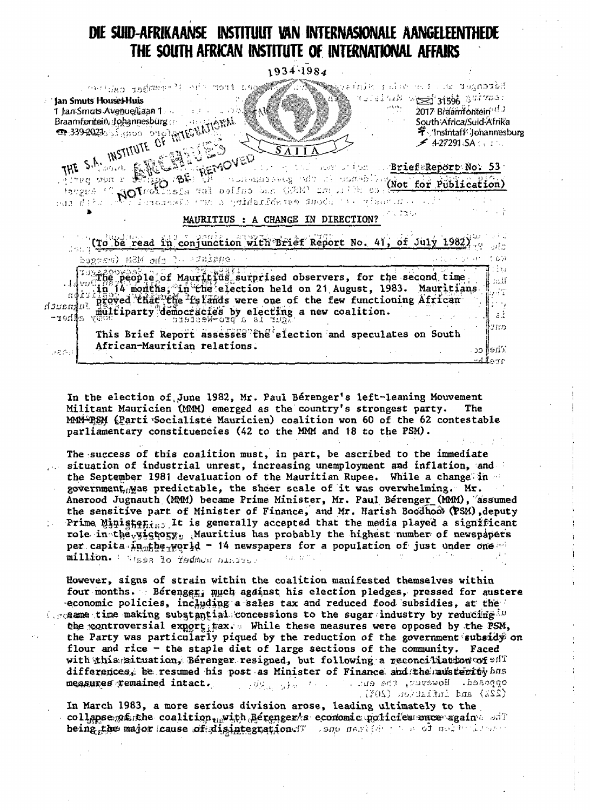## DIE SUID-AFRIKAANSE INSTITUUT VAN INTERNASIONALE AANGELEENTHEDE THE SOUTH AFRICAN INSTITUTE OF INTERNATIONAL AFFAIRS

1934.1984

| Jan Smuts Houset Huis<br>सुराज्य प्रथम मा अस्ति।<br>स्रोत | med from cho <sup>31</sup> enganjeg også 1992<br>1 Jan Smuts Avenue/Laan 1<br>Braamfontein, Johannesburg | THE S.A. INSTITUTE OF THE S.A. INSTITUTE OF<br>FO BE REMOVED    |                                    | រុងសំរុង ស្រុក ខែ ១៩៨ ខែ បានផ្លូវ <b>ាង</b> ជនំរើ<br>and of the state of the survey.<br>the search index. BriefeReport No. 53<br>the cone of the most was compared with the committee of Publication)<br>Tiemoresis (va s emidanidame) duodu tak viastutko ( | 2017 Braamfontein <sup>11</sup><br>South Africa/Suid-Afrika<br>字 'Insintaff' Johannesburg<br>24.272915A |  |
|-----------------------------------------------------------|----------------------------------------------------------------------------------------------------------|-----------------------------------------------------------------|------------------------------------|--------------------------------------------------------------------------------------------------------------------------------------------------------------------------------------------------------------------------------------------------------------|---------------------------------------------------------------------------------------------------------|--|
|                                                           |                                                                                                          |                                                                 | MAURITIUS : A CHANGE IN DIRECTION? |                                                                                                                                                                                                                                                              |                                                                                                         |  |
|                                                           |                                                                                                          | eggram) MSM afa C- Palet                                        |                                    | (To be read in conjunction with Brief Report No. 41, of July 1982                                                                                                                                                                                            |                                                                                                         |  |
|                                                           |                                                                                                          | proved that the islands were one of the few functioning African |                                    | $\mathbb{R}^2$ people of Mauritius surprised observers, for the second time<br>in 14 months, in the election held on 21 August, 1983. Mauritians                                                                                                             |                                                                                                         |  |

In the election of June 1982, Mr. Paul Bérenger's left-leaning Mouvement Militant Mauricien (MMM) emerged as the country's strongest party. The MMM-BSM (Parti Socialiste Mauricien) coalition won 60 of the 62 contestable parliamentary constituencies (42 to the MMM and 18 to the PSM).

The success of this coalition must, in part, be ascribed to the immediate situation of industrial unrest, increasing unemployment and inflation, and the September 1981 devaluation of the Mauritian Rupee. While a change in government, was predictable, the sheer scale of it was overwhelming. Mr. Anerood Jugnauth (MMM) became Prime Minister, Mr. Paul Bérenger (MMM), assumed the sensitive part of Minister of Finance, and Mr. Harish Boodhood (PSM), deputy Prime Ministenius It is generally accepted that the media played a significant role in the victory, Mauritius has probably the highest number of newspapers per capita  $\tilde{\mu}_{0.05}$ he<sub>r</sub>world - 14 newspapers for a population of just under one million. I Wass to fedmon nintress Rup temp

However, signs of strain within the coalition manifested themselves within four months. Berenger, much against his election pledges, pressed for austere economic policies, including a sales tax and reduced food subsidies, at the (creame time making substantial concessions to the sugar industry by reducing  $\Omega$ ) the controversial export tax. While these measures were opposed by the PSM, the Party was particularly piqued by the reduction of the government subsidy on flour and rice - the staple diet of large sections of the community. Faced with this situation, Berenger resigned, but following a reconciliation of  $\mathfrak{sl}\mathbb{T}$ differences, be resumed his post as Minister of Finance and the mansterity has measures remained intact. opposed. However, the ent. Control Store

In March 1983, a more serious division arose, leading ultimately to the collapse parthe coalition, with Berenger's economic policies once again and being the major cause of disintegration of some market passed and which are

(22%) and inflation (20%).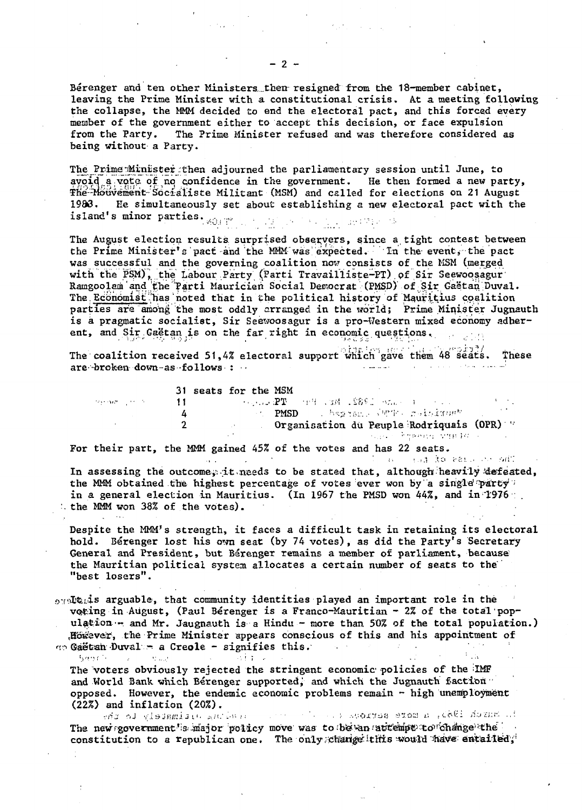Berenger and ten other Ministers then resigned from the 18-member cabinet, leaving the Prime Minister with a constitutional crisis. At a meeting following the collapse, the MMM decided to end the electoral pact, and this forced every member of the government either to accept this decision, or face expulsion from the Party. The Prime Minister refused and was therefore considered as being without a Party.

The Prime Minister then adjourned the parliamentary session until June, to avoid a vote of no confidence in the government. He then formed a new party, The Mouvement Socialiste Militant (MSM) and called for elections on 21 August 19&3. He simultaneously set about establishing a new electoral pact with the island's minor parties. ,,-> .,". ,. ... .

The August election results surprised observers, since a tight contest between the Prime Minister's pact and the MMM"was expected. In the-event, the pact was successful and the governing coalition nou consists of the MSM (merged with the PSM), the Labour Party (Parti Travailliste-PT) of Sir Seewoosagur' Ramgoolam'and^he'Parti Mauricien Social Democrat (PMSD) of Sir Gaetan-Duval. The Economist has noted that in the political history of Mauritius coalition parties are among the most oddly arranged in the world; Prime Minister Jugnauth is a pragmatic socialist, Sir Seewoosagur is a pro-Western mixed economy adherent, and Sir Gaëtan is on the far right in economic questions.

The coalition received 51,4% electoral support which gave them  $48^{\degree}$  seats. These are -broken down-as -follows • : • • - - . ••

|                               | 31 seats for the MSM                                                                                                                                      |  |
|-------------------------------|-----------------------------------------------------------------------------------------------------------------------------------------------------------|--|
| tege expertise in the collect | . The component of the component $\mathbf{P}\mathbf{T}$ is a set of the component $\mathbf{P}\mathbf{T}$ is a set of the component $\mathbf{P}\mathbf{T}$ |  |
|                               | and PMSD and begans a supply contribution                                                                                                                 |  |
|                               | Organisation du Peuple Rodriquais (OPR)                                                                                                                   |  |
|                               | and a group of the experience of the second and computer to the computation of the second second and                                                      |  |

 $\sim 10^{11}$ 

The stronger of the common

For their part, the MMM gained 45% of the votes and has 22 seats.

 $\sim$ 

 $\alpha$  and  $\alpha$ 

Same Reserve the Bank

 $\sim 10^{-10}$ 

In assessing the outcome, it needs to be stated that, although heavily defeated, the MMM obtained the highest percentage of votes ever won by a single party in a general election in Mauritius. (In 1967 the PMSD won 44%, and in 1976 ... the MMM won 38% of the votes).

Despite the MMM's strength, it faces a difficult task in retaining its electoral hold. Berenger lost his own seat (by 74 votes), as did the Party's Secretary General and President, but Berenger remains a member of parliament, because the Mauritian political system allocates a certain number of seats to the "best losers".

opertials arguable, that community identities played an important role in the voting in August, (Paul Bérenger is a Franco-Mauritian - 2% of the total population  $-$  and Mr. Jaugnauth is a Hindu - more than 50% of the total population.) However, the Prime Minister appears conscious of this and his appointment of  $\alpha$  $\infty$  Gaëtah Duval - a Creole - signifies this.  $\mathcal{A}_\mathbf{a}$  and

The voters obviously rejected the stringent economic policies of the IMF and World Bank which Berenger supported, and which the Jugnauth faction opposed. However, the endemic economic problems remain - high unemployment (22%) and inflation (20%).

 $\sim 1.1$  .  $\sim$ 

th manual 1955, a more scriptory can be been and of gistamized and sale The new government's major policy move was to be an attempt to change the constitution to a republican one. The only change this would have entailed;